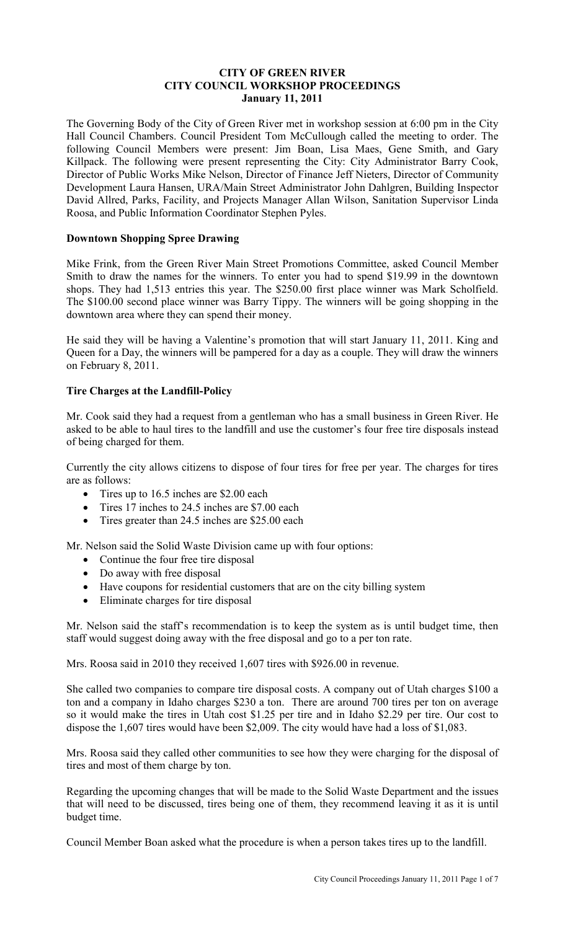## **CITY OF GREEN RIVER CITY COUNCIL WORKSHOP PROCEEDINGS January 11, 2011**

The Governing Body of the City of Green River met in workshop session at 6:00 pm in the City Hall Council Chambers. Council President Tom McCullough called the meeting to order. The following Council Members were present: Jim Boan, Lisa Maes, Gene Smith, and Gary Killpack. The following were present representing the City: City Administrator Barry Cook, Director of Public Works Mike Nelson, Director of Finance Jeff Nieters, Director of Community Development Laura Hansen, URA/Main Street Administrator John Dahlgren, Building Inspector David Allred, Parks, Facility, and Projects Manager Allan Wilson, Sanitation Supervisor Linda Roosa, and Public Information Coordinator Stephen Pyles.

# **Downtown Shopping Spree Drawing**

Mike Frink, from the Green River Main Street Promotions Committee, asked Council Member Smith to draw the names for the winners. To enter you had to spend \$19.99 in the downtown shops. They had 1,513 entries this year. The \$250.00 first place winner was Mark Scholfield. The \$100.00 second place winner was Barry Tippy. The winners will be going shopping in the downtown area where they can spend their money.

He said they will be having a Valentine's promotion that will start January 11, 2011. King and Queen for a Day, the winners will be pampered for a day as a couple. They will draw the winners on February 8, 2011.

# **Tire Charges at the Landfill-Policy**

Mr. Cook said they had a request from a gentleman who has a small business in Green River. He asked to be able to haul tires to the landfill and use the customer's four free tire disposals instead of being charged for them.

Currently the city allows citizens to dispose of four tires for free per year. The charges for tires are as follows:

- Tires up to 16.5 inches are \$2.00 each
- Tires 17 inches to 24.5 inches are \$7.00 each
- Tires greater than 24.5 inches are \$25.00 each

Mr. Nelson said the Solid Waste Division came up with four options:

- Continue the four free tire disposal
- Do away with free disposal
- Have coupons for residential customers that are on the city billing system
- Eliminate charges for tire disposal

Mr. Nelson said the staff's recommendation is to keep the system as is until budget time, then staff would suggest doing away with the free disposal and go to a per ton rate.

Mrs. Roosa said in 2010 they received 1,607 tires with \$926.00 in revenue.

She called two companies to compare tire disposal costs. A company out of Utah charges \$100 a ton and a company in Idaho charges \$230 a ton. There are around 700 tires per ton on average so it would make the tires in Utah cost \$1.25 per tire and in Idaho \$2.29 per tire. Our cost to dispose the 1,607 tires would have been \$2,009. The city would have had a loss of \$1,083.

Mrs. Roosa said they called other communities to see how they were charging for the disposal of tires and most of them charge by ton.

Regarding the upcoming changes that will be made to the Solid Waste Department and the issues that will need to be discussed, tires being one of them, they recommend leaving it as it is until budget time.

Council Member Boan asked what the procedure is when a person takes tires up to the landfill.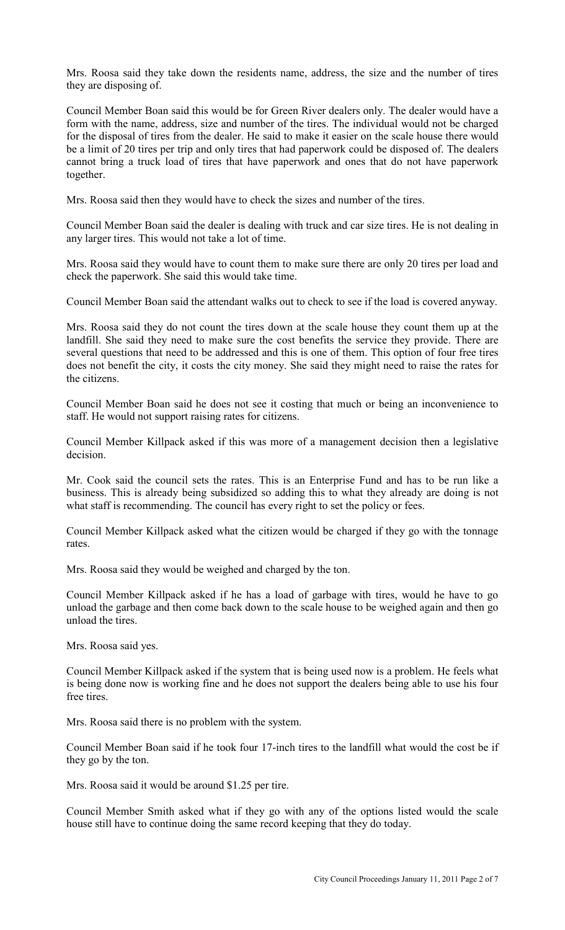Mrs. Roosa said they take down the residents name, address, the size and the number of tires they are disposing of.

Council Member Boan said this would be for Green River dealers only. The dealer would have a form with the name, address, size and number of the tires. The individual would not be charged for the disposal of tires from the dealer. He said to make it easier on the scale house there would be a limit of 20 tires per trip and only tires that had paperwork could be disposed of. The dealers cannot bring a truck load of tires that have paperwork and ones that do not have paperwork together.

Mrs. Roosa said then they would have to check the sizes and number of the tires.

Council Member Boan said the dealer is dealing with truck and car size tires. He is not dealing in any larger tires. This would not take a lot of time.

Mrs. Roosa said they would have to count them to make sure there are only 20 tires per load and check the paperwork. She said this would take time.

Council Member Boan said the attendant walks out to check to see if the load is covered anyway.

Mrs. Roosa said they do not count the tires down at the scale house they count them up at the landfill. She said they need to make sure the cost benefits the service they provide. There are several questions that need to be addressed and this is one of them. This option of four free tires does not benefit the city, it costs the city money. She said they might need to raise the rates for the citizens.

Council Member Boan said he does not see it costing that much or being an inconvenience to staff. He would not support raising rates for citizens.

Council Member Killpack asked if this was more of a management decision then a legislative decision.

Mr. Cook said the council sets the rates. This is an Enterprise Fund and has to be run like a business. This is already being subsidized so adding this to what they already are doing is not what staff is recommending. The council has every right to set the policy or fees.

Council Member Killpack asked what the citizen would be charged if they go with the tonnage rates.

Mrs. Roosa said they would be weighed and charged by the ton.

Council Member Killpack asked if he has a load of garbage with tires, would he have to go unload the garbage and then come back down to the scale house to be weighed again and then go unload the tires.

Mrs. Roosa said yes.

Council Member Killpack asked if the system that is being used now is a problem. He feels what is being done now is working fine and he does not support the dealers being able to use his four free tires.

Mrs. Roosa said there is no problem with the system.

Council Member Boan said if he took four 17-inch tires to the landfill what would the cost be if they go by the ton.

Mrs. Roosa said it would be around \$1.25 per tire.

Council Member Smith asked what if they go with any of the options listed would the scale house still have to continue doing the same record keeping that they do today.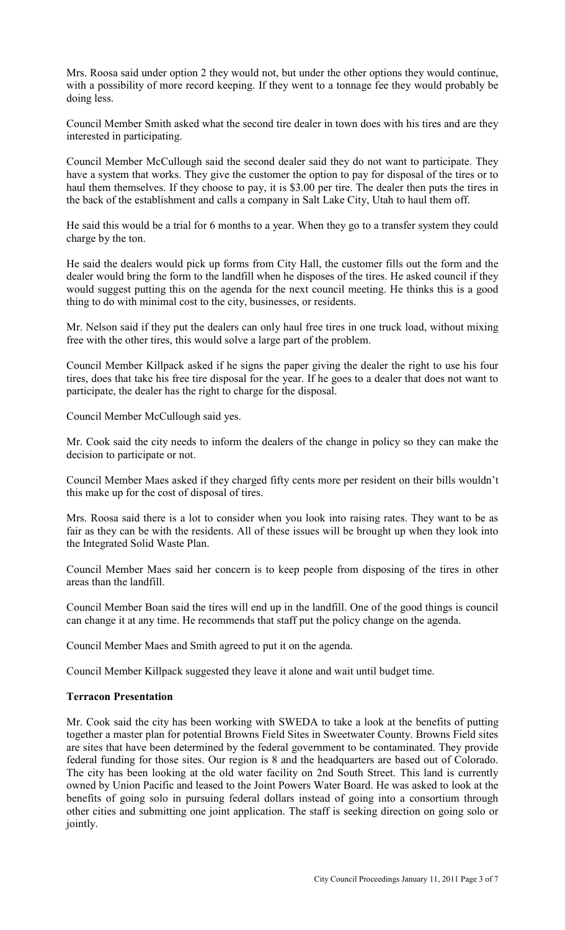Mrs. Roosa said under option 2 they would not, but under the other options they would continue, with a possibility of more record keeping. If they went to a tonnage fee they would probably be doing less.

Council Member Smith asked what the second tire dealer in town does with his tires and are they interested in participating.

Council Member McCullough said the second dealer said they do not want to participate. They have a system that works. They give the customer the option to pay for disposal of the tires or to haul them themselves. If they choose to pay, it is \$3.00 per tire. The dealer then puts the tires in the back of the establishment and calls a company in Salt Lake City, Utah to haul them off.

He said this would be a trial for 6 months to a year. When they go to a transfer system they could charge by the ton.

He said the dealers would pick up forms from City Hall, the customer fills out the form and the dealer would bring the form to the landfill when he disposes of the tires. He asked council if they would suggest putting this on the agenda for the next council meeting. He thinks this is a good thing to do with minimal cost to the city, businesses, or residents.

Mr. Nelson said if they put the dealers can only haul free tires in one truck load, without mixing free with the other tires, this would solve a large part of the problem.

Council Member Killpack asked if he signs the paper giving the dealer the right to use his four tires, does that take his free tire disposal for the year. If he goes to a dealer that does not want to participate, the dealer has the right to charge for the disposal.

Council Member McCullough said yes.

Mr. Cook said the city needs to inform the dealers of the change in policy so they can make the decision to participate or not.

Council Member Maes asked if they charged fifty cents more per resident on their bills wouldn't this make up for the cost of disposal of tires.

Mrs. Roosa said there is a lot to consider when you look into raising rates. They want to be as fair as they can be with the residents. All of these issues will be brought up when they look into the Integrated Solid Waste Plan.

Council Member Maes said her concern is to keep people from disposing of the tires in other areas than the landfill.

Council Member Boan said the tires will end up in the landfill. One of the good things is council can change it at any time. He recommends that staff put the policy change on the agenda.

Council Member Maes and Smith agreed to put it on the agenda.

Council Member Killpack suggested they leave it alone and wait until budget time.

#### **Terracon Presentation**

Mr. Cook said the city has been working with SWEDA to take a look at the benefits of putting together a master plan for potential Browns Field Sites in Sweetwater County. Browns Field sites are sites that have been determined by the federal government to be contaminated. They provide federal funding for those sites. Our region is 8 and the headquarters are based out of Colorado. The city has been looking at the old water facility on 2nd South Street. This land is currently owned by Union Pacific and leased to the Joint Powers Water Board. He was asked to look at the benefits of going solo in pursuing federal dollars instead of going into a consortium through other cities and submitting one joint application. The staff is seeking direction on going solo or jointly.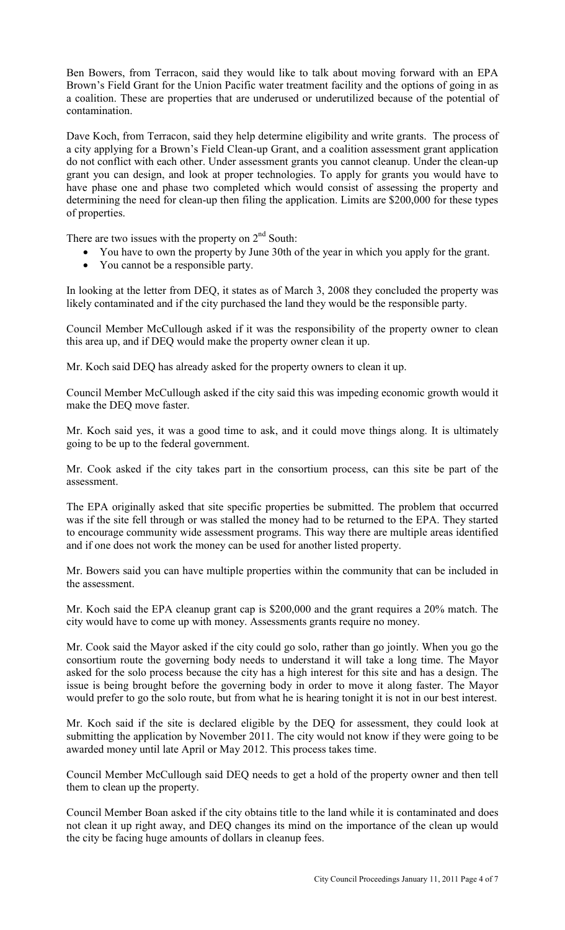Ben Bowers, from Terracon, said they would like to talk about moving forward with an EPA Brown's Field Grant for the Union Pacific water treatment facility and the options of going in as a coalition. These are properties that are underused or underutilized because of the potential of contamination.

Dave Koch, from Terracon, said they help determine eligibility and write grants. The process of a city applying for a Brown's Field Clean-up Grant, and a coalition assessment grant application do not conflict with each other. Under assessment grants you cannot cleanup. Under the clean-up grant you can design, and look at proper technologies. To apply for grants you would have to have phase one and phase two completed which would consist of assessing the property and determining the need for clean-up then filing the application. Limits are \$200,000 for these types of properties.

There are two issues with the property on  $2<sup>nd</sup>$  South:

- You have to own the property by June 30th of the year in which you apply for the grant.
- You cannot be a responsible party.

In looking at the letter from DEQ, it states as of March 3, 2008 they concluded the property was likely contaminated and if the city purchased the land they would be the responsible party.

Council Member McCullough asked if it was the responsibility of the property owner to clean this area up, and if DEQ would make the property owner clean it up.

Mr. Koch said DEQ has already asked for the property owners to clean it up.

Council Member McCullough asked if the city said this was impeding economic growth would it make the DEQ move faster.

Mr. Koch said yes, it was a good time to ask, and it could move things along. It is ultimately going to be up to the federal government.

Mr. Cook asked if the city takes part in the consortium process, can this site be part of the assessment.

The EPA originally asked that site specific properties be submitted. The problem that occurred was if the site fell through or was stalled the money had to be returned to the EPA. They started to encourage community wide assessment programs. This way there are multiple areas identified and if one does not work the money can be used for another listed property.

Mr. Bowers said you can have multiple properties within the community that can be included in the assessment.

Mr. Koch said the EPA cleanup grant cap is \$200,000 and the grant requires a 20% match. The city would have to come up with money. Assessments grants require no money.

Mr. Cook said the Mayor asked if the city could go solo, rather than go jointly. When you go the consortium route the governing body needs to understand it will take a long time. The Mayor asked for the solo process because the city has a high interest for this site and has a design. The issue is being brought before the governing body in order to move it along faster. The Mayor would prefer to go the solo route, but from what he is hearing tonight it is not in our best interest.

Mr. Koch said if the site is declared eligible by the DEQ for assessment, they could look at submitting the application by November 2011. The city would not know if they were going to be awarded money until late April or May 2012. This process takes time.

Council Member McCullough said DEQ needs to get a hold of the property owner and then tell them to clean up the property.

Council Member Boan asked if the city obtains title to the land while it is contaminated and does not clean it up right away, and DEQ changes its mind on the importance of the clean up would the city be facing huge amounts of dollars in cleanup fees.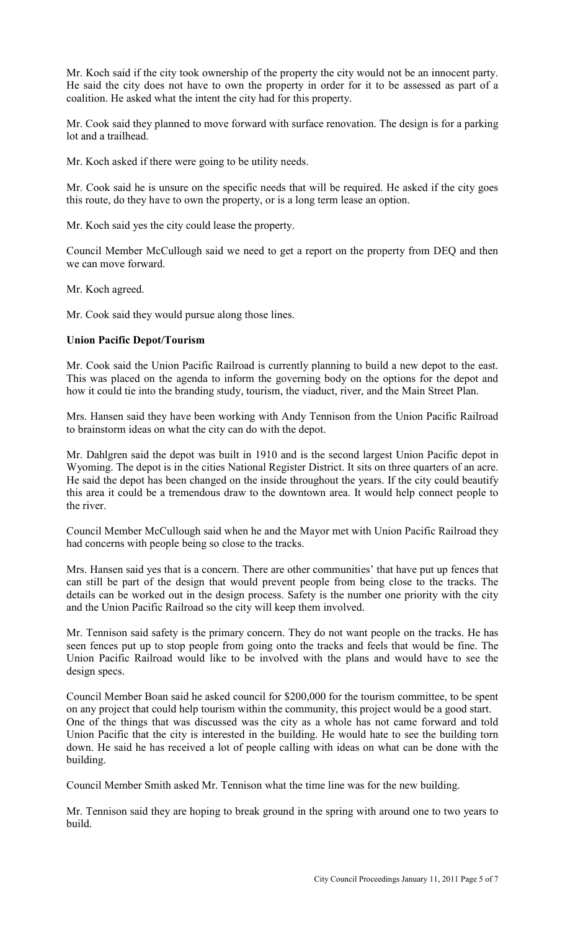Mr. Koch said if the city took ownership of the property the city would not be an innocent party. He said the city does not have to own the property in order for it to be assessed as part of a coalition. He asked what the intent the city had for this property.

Mr. Cook said they planned to move forward with surface renovation. The design is for a parking lot and a trailhead.

Mr. Koch asked if there were going to be utility needs.

Mr. Cook said he is unsure on the specific needs that will be required. He asked if the city goes this route, do they have to own the property, or is a long term lease an option.

Mr. Koch said yes the city could lease the property.

Council Member McCullough said we need to get a report on the property from DEQ and then we can move forward.

Mr. Koch agreed.

Mr. Cook said they would pursue along those lines.

### **Union Pacific Depot/Tourism**

Mr. Cook said the Union Pacific Railroad is currently planning to build a new depot to the east. This was placed on the agenda to inform the governing body on the options for the depot and how it could tie into the branding study, tourism, the viaduct, river, and the Main Street Plan.

Mrs. Hansen said they have been working with Andy Tennison from the Union Pacific Railroad to brainstorm ideas on what the city can do with the depot.

Mr. Dahlgren said the depot was built in 1910 and is the second largest Union Pacific depot in Wyoming. The depot is in the cities National Register District. It sits on three quarters of an acre. He said the depot has been changed on the inside throughout the years. If the city could beautify this area it could be a tremendous draw to the downtown area. It would help connect people to the river.

Council Member McCullough said when he and the Mayor met with Union Pacific Railroad they had concerns with people being so close to the tracks.

Mrs. Hansen said yes that is a concern. There are other communities' that have put up fences that can still be part of the design that would prevent people from being close to the tracks. The details can be worked out in the design process. Safety is the number one priority with the city and the Union Pacific Railroad so the city will keep them involved.

Mr. Tennison said safety is the primary concern. They do not want people on the tracks. He has seen fences put up to stop people from going onto the tracks and feels that would be fine. The Union Pacific Railroad would like to be involved with the plans and would have to see the design specs.

Council Member Boan said he asked council for \$200,000 for the tourism committee, to be spent on any project that could help tourism within the community, this project would be a good start. One of the things that was discussed was the city as a whole has not came forward and told Union Pacific that the city is interested in the building. He would hate to see the building torn down. He said he has received a lot of people calling with ideas on what can be done with the building.

Council Member Smith asked Mr. Tennison what the time line was for the new building.

Mr. Tennison said they are hoping to break ground in the spring with around one to two years to build.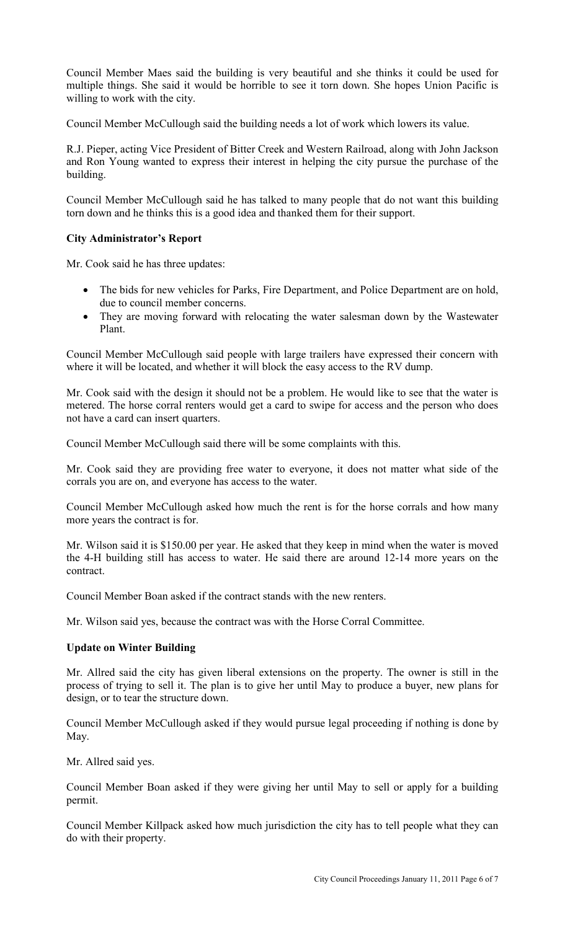Council Member Maes said the building is very beautiful and she thinks it could be used for multiple things. She said it would be horrible to see it torn down. She hopes Union Pacific is willing to work with the city.

Council Member McCullough said the building needs a lot of work which lowers its value.

R.J. Pieper, acting Vice President of Bitter Creek and Western Railroad, along with John Jackson and Ron Young wanted to express their interest in helping the city pursue the purchase of the building.

Council Member McCullough said he has talked to many people that do not want this building torn down and he thinks this is a good idea and thanked them for their support.

# **City Administrator's Report**

Mr. Cook said he has three updates:

- The bids for new vehicles for Parks, Fire Department, and Police Department are on hold, due to council member concerns.
- They are moving forward with relocating the water salesman down by the Wastewater Plant.

Council Member McCullough said people with large trailers have expressed their concern with where it will be located, and whether it will block the easy access to the RV dump.

Mr. Cook said with the design it should not be a problem. He would like to see that the water is metered. The horse corral renters would get a card to swipe for access and the person who does not have a card can insert quarters.

Council Member McCullough said there will be some complaints with this.

Mr. Cook said they are providing free water to everyone, it does not matter what side of the corrals you are on, and everyone has access to the water.

Council Member McCullough asked how much the rent is for the horse corrals and how many more years the contract is for.

Mr. Wilson said it is \$150.00 per year. He asked that they keep in mind when the water is moved the 4-H building still has access to water. He said there are around 12-14 more years on the contract.

Council Member Boan asked if the contract stands with the new renters.

Mr. Wilson said yes, because the contract was with the Horse Corral Committee.

## **Update on Winter Building**

Mr. Allred said the city has given liberal extensions on the property. The owner is still in the process of trying to sell it. The plan is to give her until May to produce a buyer, new plans for design, or to tear the structure down.

Council Member McCullough asked if they would pursue legal proceeding if nothing is done by May.

Mr. Allred said yes.

Council Member Boan asked if they were giving her until May to sell or apply for a building permit.

Council Member Killpack asked how much jurisdiction the city has to tell people what they can do with their property.